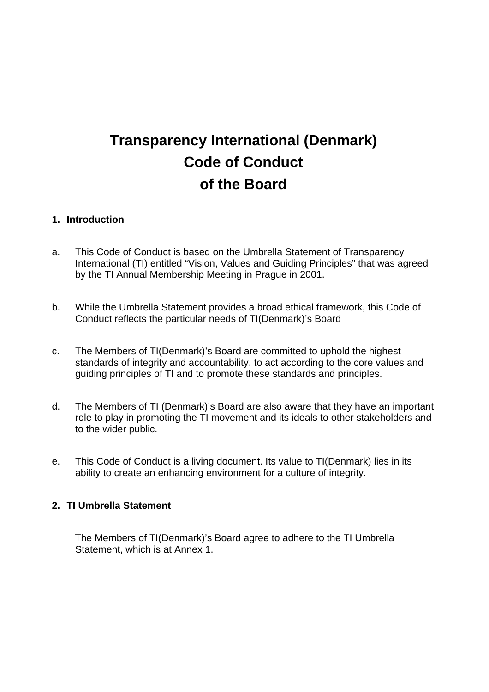# **Transparency International (Denmark) Code of Conduct of the Board**

#### **1. Introduction**

- a. This Code of Conduct is based on the Umbrella Statement of Transparency International (TI) entitled "Vision, Values and Guiding Principles" that was agreed by the TI Annual Membership Meeting in Prague in 2001.
- b. While the Umbrella Statement provides a broad ethical framework, this Code of Conduct reflects the particular needs of TI(Denmark)'s Board
- c. The Members of TI(Denmark)'s Board are committed to uphold the highest standards of integrity and accountability, to act according to the core values and guiding principles of TI and to promote these standards and principles.
- d. The Members of TI (Denmark)'s Board are also aware that they have an important role to play in promoting the TI movement and its ideals to other stakeholders and to the wider public.
- e. This Code of Conduct is a living document. Its value to TI(Denmark) lies in its ability to create an enhancing environment for a culture of integrity.

#### **2. TI Umbrella Statement**

 The Members of TI(Denmark)'s Board agree to adhere to the TI Umbrella Statement, which is at Annex 1.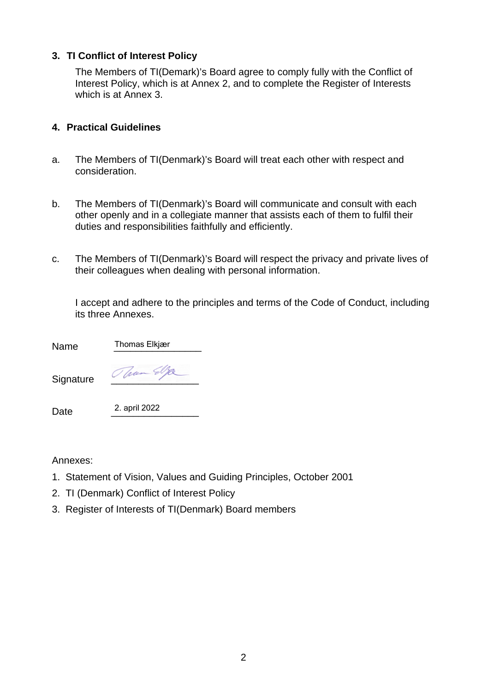#### **3. TI Conflict of Interest Policy**

 The Members of TI(Demark)'s Board agree to comply fully with the Conflict of Interest Policy, which is at Annex 2, and to complete the Register of Interests which is at Annex 3.

#### **4. Practical Guidelines**

- a. The Members of TI(Denmark)'s Board will treat each other with respect and consideration.
- b. The Members of TI(Denmark)'s Board will communicate and consult with each other openly and in a collegiate manner that assists each of them to fulfil their duties and responsibilities faithfully and efficiently.
- c. The Members of TI(Denmark)'s Board will respect the privacy and private lives of their colleagues when dealing with personal information.

 I accept and adhere to the principles and terms of the Code of Conduct, including its three Annexes.

| Name      | Thomas Elkjær |
|-----------|---------------|
| Signature | Jaan S        |
| Date      | 2. april 2022 |

Annexes:

- 1. Statement of Vision, Values and Guiding Principles, October 2001
- 2. TI (Denmark) Conflict of Interest Policy
- 3. Register of Interests of TI(Denmark) Board members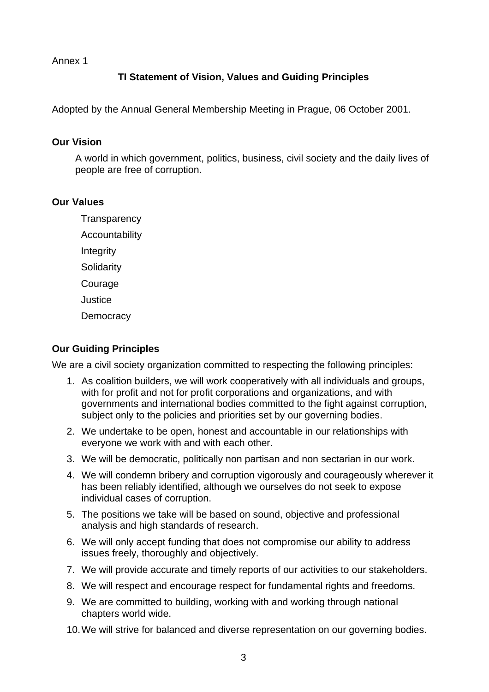Annex 1

#### **TI Statement of Vision, Values and Guiding Principles**

Adopted by the Annual General Membership Meeting in Prague, 06 October 2001.

#### **Our Vision**

 A world in which government, politics, business, civil society and the daily lives of people are free of corruption.

#### **Our Values**

**Transparency** 

Accountability

Integrity

**Solidarity** 

Courage

**Justice** 

**Democracy** 

#### **Our Guiding Principles**

We are a civil society organization committed to respecting the following principles:

- 1. As coalition builders, we will work cooperatively with all individuals and groups, with for profit and not for profit corporations and organizations, and with governments and international bodies committed to the fight against corruption, subject only to the policies and priorities set by our governing bodies.
- 2. We undertake to be open, honest and accountable in our relationships with everyone we work with and with each other.
- 3. We will be democratic, politically non partisan and non sectarian in our work.
- 4. We will condemn bribery and corruption vigorously and courageously wherever it has been reliably identified, although we ourselves do not seek to expose individual cases of corruption.
- 5. The positions we take will be based on sound, objective and professional analysis and high standards of research.
- 6. We will only accept funding that does not compromise our ability to address issues freely, thoroughly and objectively.
- 7. We will provide accurate and timely reports of our activities to our stakeholders.
- 8. We will respect and encourage respect for fundamental rights and freedoms.
- 9. We are committed to building, working with and working through national chapters world wide.
- 10. We will strive for balanced and diverse representation on our governing bodies.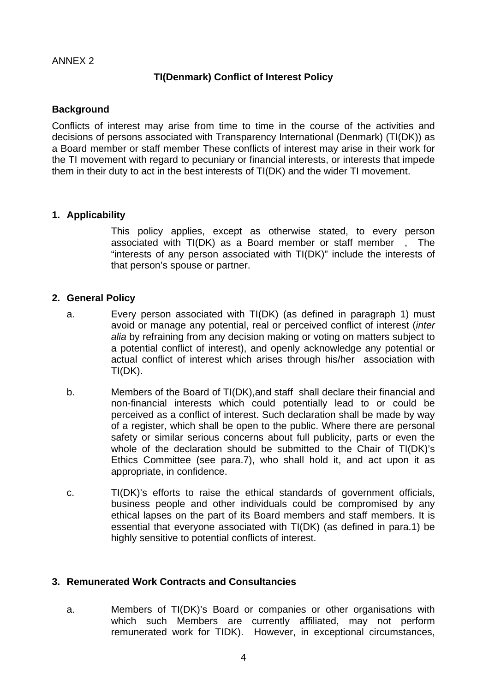#### ANNEX 2

#### **TI(Denmark) Conflict of Interest Policy**

#### **Background**

Conflicts of interest may arise from time to time in the course of the activities and decisions of persons associated with Transparency International (Denmark) (TI(DK)) as a Board member or staff member These conflicts of interest may arise in their work for the TI movement with regard to pecuniary or financial interests, or interests that impede them in their duty to act in the best interests of TI(DK) and the wider TI movement.

#### **1. Applicability**

This policy applies, except as otherwise stated, to every person associated with TI(DK) as a Board member or staff member , The "interests of any person associated with TI(DK)" include the interests of that person's spouse or partner.

#### **2. General Policy**

- a. Every person associated with TI(DK) (as defined in paragraph 1) must avoid or manage any potential, real or perceived conflict of interest (*inter alia* by refraining from any decision making or voting on matters subject to a potential conflict of interest), and openly acknowledge any potential or actual conflict of interest which arises through his/her association with TI(DK).
- b. Members of the Board of TI(DK),and staff shall declare their financial and non-financial interests which could potentially lead to or could be perceived as a conflict of interest. Such declaration shall be made by way of a register, which shall be open to the public. Where there are personal safety or similar serious concerns about full publicity, parts or even the whole of the declaration should be submitted to the Chair of TI(DK)'s Ethics Committee (see para.7), who shall hold it, and act upon it as appropriate, in confidence.
- c. TI(DK)'s efforts to raise the ethical standards of government officials, business people and other individuals could be compromised by any ethical lapses on the part of its Board members and staff members. It is essential that everyone associated with TI(DK) (as defined in para.1) be highly sensitive to potential conflicts of interest.

#### **3. Remunerated Work Contracts and Consultancies**

a. Members of TI(DK)'s Board or companies or other organisations with which such Members are currently affiliated, may not perform remunerated work for TIDK). However, in exceptional circumstances,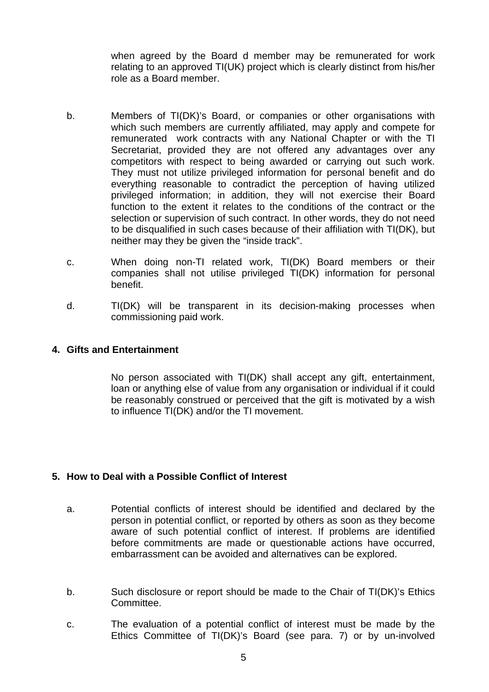when agreed by the Board d member may be remunerated for work relating to an approved TI(UK) project which is clearly distinct from his/her role as a Board member.

- b. Members of TI(DK)'s Board, or companies or other organisations with which such members are currently affiliated, may apply and compete for remunerated work contracts with any National Chapter or with the TI Secretariat, provided they are not offered any advantages over any competitors with respect to being awarded or carrying out such work. They must not utilize privileged information for personal benefit and do everything reasonable to contradict the perception of having utilized privileged information; in addition, they will not exercise their Board function to the extent it relates to the conditions of the contract or the selection or supervision of such contract. In other words, they do not need to be disqualified in such cases because of their affiliation with TI(DK), but neither may they be given the "inside track".
- c. When doing non-TI related work, TI(DK) Board members or their companies shall not utilise privileged TI(DK) information for personal benefit.
- d. TI(DK) will be transparent in its decision-making processes when commissioning paid work.

#### **4. Gifts and Entertainment**

No person associated with TI(DK) shall accept any gift, entertainment, loan or anything else of value from any organisation or individual if it could be reasonably construed or perceived that the gift is motivated by a wish to influence TI(DK) and/or the TI movement.

#### **5. How to Deal with a Possible Conflict of Interest**

- a. Potential conflicts of interest should be identified and declared by the person in potential conflict, or reported by others as soon as they become aware of such potential conflict of interest. If problems are identified before commitments are made or questionable actions have occurred, embarrassment can be avoided and alternatives can be explored.
- b. Such disclosure or report should be made to the Chair of TI(DK)'s Ethics **Committee.**
- c. The evaluation of a potential conflict of interest must be made by the Ethics Committee of TI(DK)'s Board (see para. 7) or by un-involved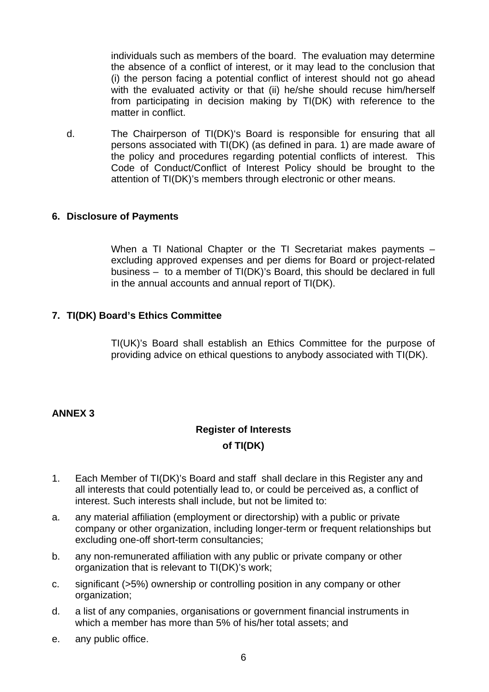individuals such as members of the board. The evaluation may determine the absence of a conflict of interest, or it may lead to the conclusion that (i) the person facing a potential conflict of interest should not go ahead with the evaluated activity or that (ii) he/she should recuse him/herself from participating in decision making by TI(DK) with reference to the matter in conflict.

d. The Chairperson of TI(DK)'s Board is responsible for ensuring that all persons associated with TI(DK) (as defined in para. 1) are made aware of the policy and procedures regarding potential conflicts of interest. This Code of Conduct/Conflict of Interest Policy should be brought to the attention of TI(DK)'s members through electronic or other means.

#### **6. Disclosure of Payments**

When a TI National Chapter or the TI Secretariat makes payments – excluding approved expenses and per diems for Board or project-related business – to a member of TI(DK)'s Board, this should be declared in full in the annual accounts and annual report of TI(DK).

#### **7. TI(DK) Board's Ethics Committee**

TI(UK)'s Board shall establish an Ethics Committee for the purpose of providing advice on ethical questions to anybody associated with TI(DK).

#### **ANNEX 3**

### **Register of Interests of TI(DK)**

- 1. Each Member of TI(DK)'s Board and staff shall declare in this Register any and all interests that could potentially lead to, or could be perceived as, a conflict of interest. Such interests shall include, but not be limited to:
- a. any material affiliation (employment or directorship) with a public or private company or other organization, including longer-term or frequent relationships but excluding one-off short-term consultancies;
- b. any non-remunerated affiliation with any public or private company or other organization that is relevant to TI(DK)'s work;
- c. significant (>5%) ownership or controlling position in any company or other organization;
- d. a list of any companies, organisations or government financial instruments in which a member has more than 5% of his/her total assets; and
- e. any public office.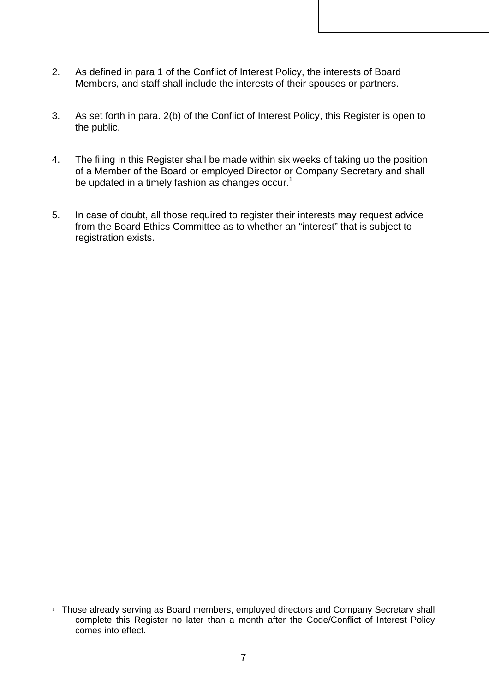- 2. As defined in para 1 of the Conflict of Interest Policy, the interests of Board Members, and staff shall include the interests of their spouses or partners.
- 3. As set forth in para. 2(b) of the Conflict of Interest Policy, this Register is open to the public.
- 4. The filing in this Register shall be made within six weeks of taking up the position of a Member of the Board or employed Director or Company Secretary and shall be updated in a timely fashion as changes occur.<sup>1</sup>
- 5. In case of doubt, all those required to register their interests may request advice from the Board Ethics Committee as to whether an "interest" that is subject to registration exists.

l

<sup>&</sup>lt;sup>1</sup> Those already serving as Board members, employed directors and Company Secretary shall complete this Register no later than a month after the Code/Conflict of Interest Policy comes into effect.